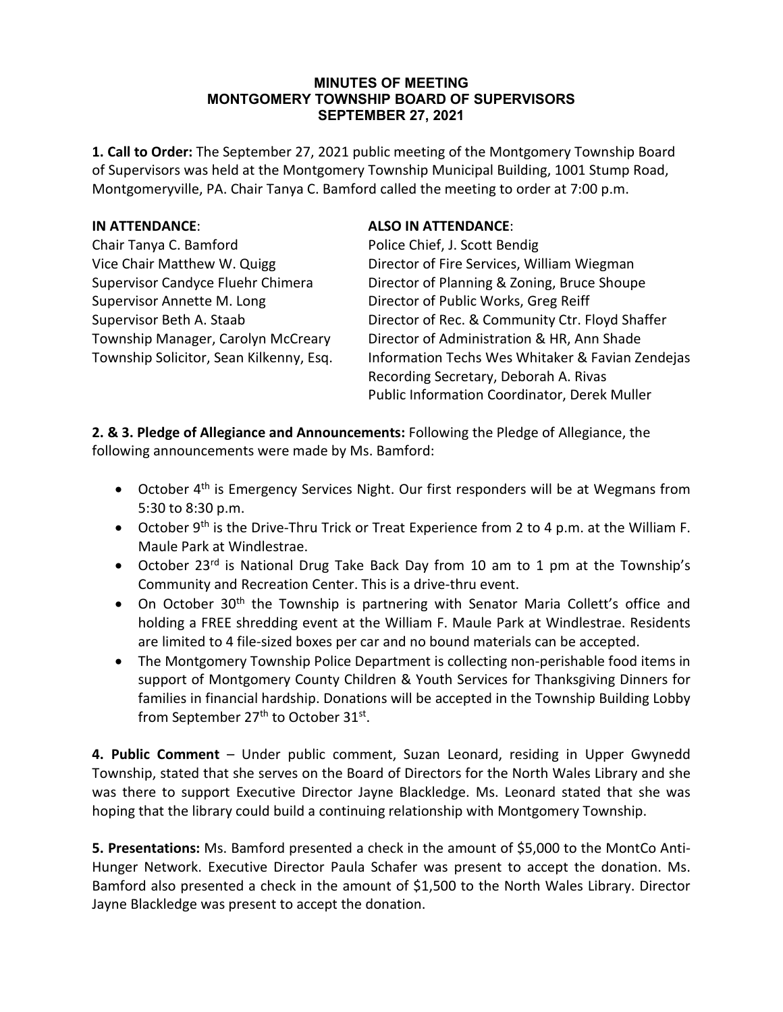#### **MINUTES OF MEETING MONTGOMERY TOWNSHIP BOARD OF SUPERVISORS SEPTEMBER 27, 2021**

**1. Call to Order:** The September 27, 2021 public meeting of the Montgomery Township Board of Supervisors was held at the Montgomery Township Municipal Building, 1001 Stump Road, Montgomeryville, PA. Chair Tanya C. Bamford called the meeting to order at 7:00 p.m.

## **IN ATTENDANCE**: **ALSO IN ATTENDANCE**:

Chair Tanya C. Bamford Police Chief, J. Scott Bendig Supervisor Annette M. Long Director of Public Works, Greg Reiff

Vice Chair Matthew W. Quigg Director of Fire Services, William Wiegman Supervisor Candyce Fluehr Chimera Director of Planning & Zoning, Bruce Shoupe Supervisor Beth A. Staab Director of Rec. & Community Ctr. Floyd Shaffer Township Manager, Carolyn McCreary Director of Administration & HR, Ann Shade Township Solicitor, Sean Kilkenny, Esq. Information Techs Wes Whitaker & Favian Zendejas Recording Secretary, Deborah A. Rivas Public Information Coordinator, Derek Muller

**2. & 3. Pledge of Allegiance and Announcements:** Following the Pledge of Allegiance, the following announcements were made by Ms. Bamford:

- October  $4<sup>th</sup>$  is Emergency Services Night. Our first responders will be at Wegmans from 5:30 to 8:30 p.m.
- October 9<sup>th</sup> is the Drive-Thru Trick or Treat Experience from 2 to 4 p.m. at the William F. Maule Park at Windlestrae.
- October 23<sup>rd</sup> is National Drug Take Back Day from 10 am to 1 pm at the Township's Community and Recreation Center. This is a drive-thru event.
- On October 30<sup>th</sup> the Township is partnering with Senator Maria Collett's office and holding a FREE shredding event at the William F. Maule Park at Windlestrae. Residents are limited to 4 file-sized boxes per car and no bound materials can be accepted.
- The Montgomery Township Police Department is collecting non-perishable food items in support of Montgomery County Children & Youth Services for Thanksgiving Dinners for families in financial hardship. Donations will be accepted in the Township Building Lobby from September 27<sup>th</sup> to October 31<sup>st</sup>.

**4. Public Comment** – Under public comment, Suzan Leonard, residing in Upper Gwynedd Township, stated that she serves on the Board of Directors for the North Wales Library and she was there to support Executive Director Jayne Blackledge. Ms. Leonard stated that she was hoping that the library could build a continuing relationship with Montgomery Township.

**5. Presentations:** Ms. Bamford presented a check in the amount of \$5,000 to the MontCo Anti-Hunger Network. Executive Director Paula Schafer was present to accept the donation. Ms. Bamford also presented a check in the amount of \$1,500 to the North Wales Library. Director Jayne Blackledge was present to accept the donation.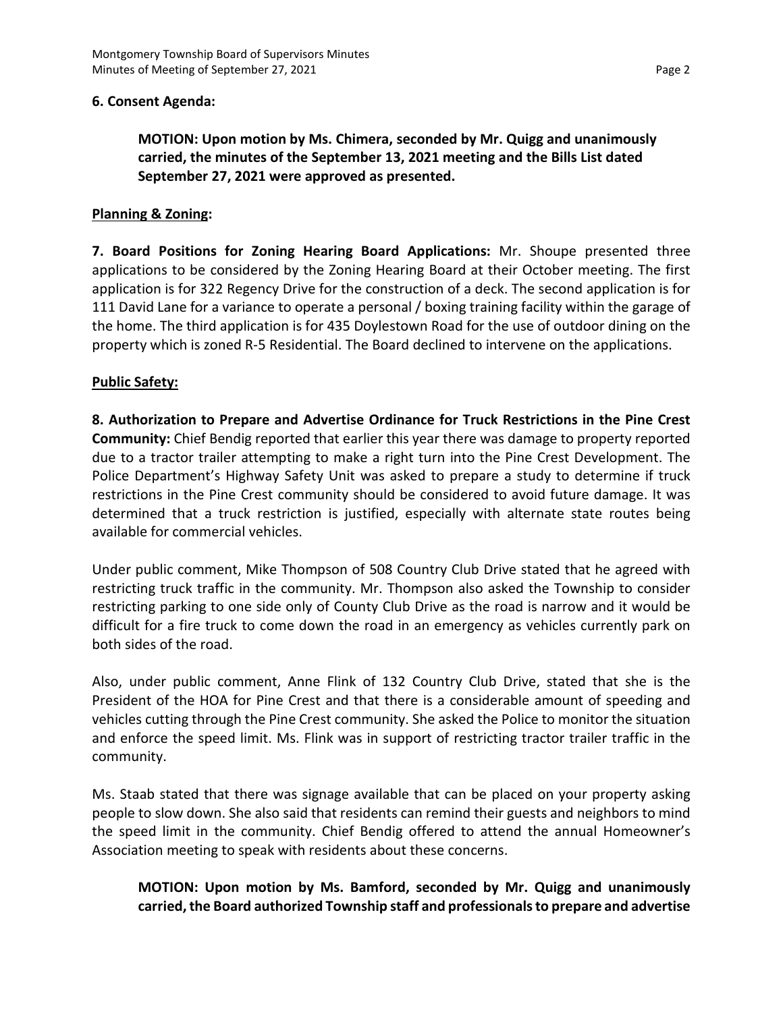## **6. Consent Agenda:**

**MOTION: Upon motion by Ms. Chimera, seconded by Mr. Quigg and unanimously carried, the minutes of the September 13, 2021 meeting and the Bills List dated September 27, 2021 were approved as presented.**

## **Planning & Zoning:**

**7. Board Positions for Zoning Hearing Board Applications:** Mr. Shoupe presented three applications to be considered by the Zoning Hearing Board at their October meeting. The first application is for 322 Regency Drive for the construction of a deck. The second application is for 111 David Lane for a variance to operate a personal / boxing training facility within the garage of the home. The third application is for 435 Doylestown Road for the use of outdoor dining on the property which is zoned R-5 Residential. The Board declined to intervene on the applications.

### **Public Safety:**

**8. Authorization to Prepare and Advertise Ordinance for Truck Restrictions in the Pine Crest Community:** Chief Bendig reported that earlier this year there was damage to property reported due to a tractor trailer attempting to make a right turn into the Pine Crest Development. The Police Department's Highway Safety Unit was asked to prepare a study to determine if truck restrictions in the Pine Crest community should be considered to avoid future damage. It was determined that a truck restriction is justified, especially with alternate state routes being available for commercial vehicles.

Under public comment, Mike Thompson of 508 Country Club Drive stated that he agreed with restricting truck traffic in the community. Mr. Thompson also asked the Township to consider restricting parking to one side only of County Club Drive as the road is narrow and it would be difficult for a fire truck to come down the road in an emergency as vehicles currently park on both sides of the road.

Also, under public comment, Anne Flink of 132 Country Club Drive, stated that she is the President of the HOA for Pine Crest and that there is a considerable amount of speeding and vehicles cutting through the Pine Crest community. She asked the Police to monitor the situation and enforce the speed limit. Ms. Flink was in support of restricting tractor trailer traffic in the community.

Ms. Staab stated that there was signage available that can be placed on your property asking people to slow down. She also said that residents can remind their guests and neighbors to mind the speed limit in the community. Chief Bendig offered to attend the annual Homeowner's Association meeting to speak with residents about these concerns.

# **MOTION: Upon motion by Ms. Bamford, seconded by Mr. Quigg and unanimously carried, the Board authorized Township staff and professionals to prepare and advertise**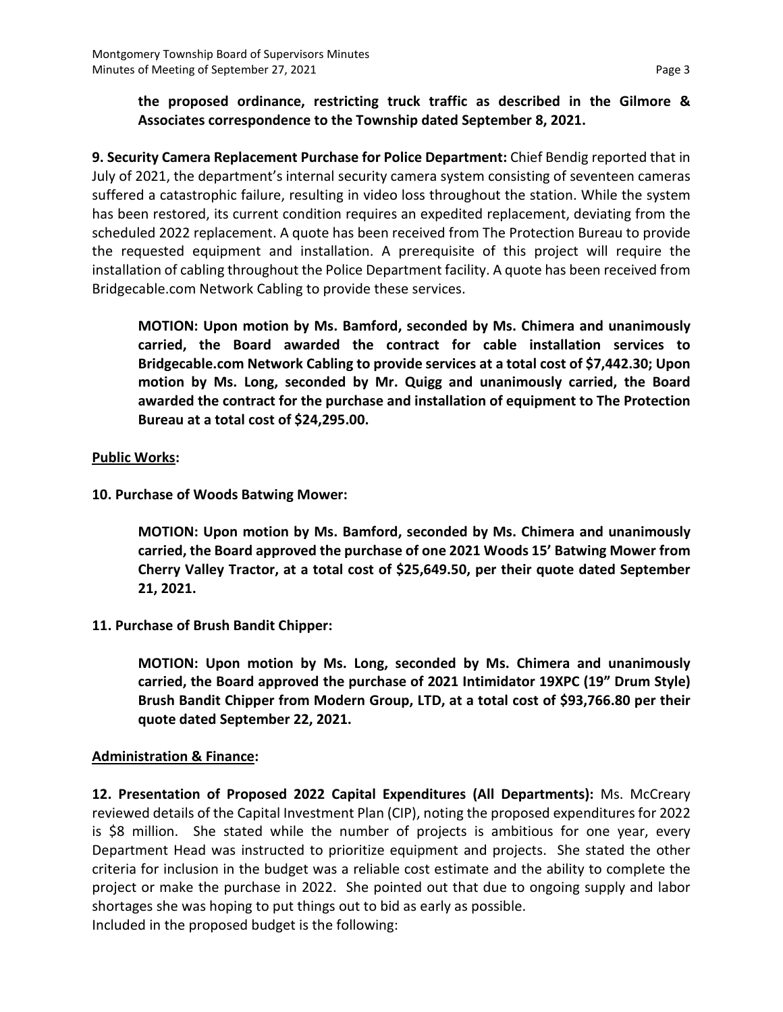# **the proposed ordinance, restricting truck traffic as described in the Gilmore & Associates correspondence to the Township dated September 8, 2021.**

**9. Security Camera Replacement Purchase for Police Department:** Chief Bendig reported that in July of 2021, the department's internal security camera system consisting of seventeen cameras suffered a catastrophic failure, resulting in video loss throughout the station. While the system has been restored, its current condition requires an expedited replacement, deviating from the scheduled 2022 replacement. A quote has been received from The Protection Bureau to provide the requested equipment and installation. A prerequisite of this project will require the installation of cabling throughout the Police Department facility. A quote has been received from Bridgecable.com Network Cabling to provide these services.

**MOTION: Upon motion by Ms. Bamford, seconded by Ms. Chimera and unanimously carried, the Board awarded the contract for cable installation services to Bridgecable.com Network Cabling to provide services at a total cost of \$7,442.30; Upon motion by Ms. Long, seconded by Mr. Quigg and unanimously carried, the Board awarded the contract for the purchase and installation of equipment to The Protection Bureau at a total cost of \$24,295.00.**

# **Public Works:**

**10. Purchase of Woods Batwing Mower:**

**MOTION: Upon motion by Ms. Bamford, seconded by Ms. Chimera and unanimously carried, the Board approved the purchase of one 2021 Woods 15' Batwing Mower from Cherry Valley Tractor, at a total cost of \$25,649.50, per their quote dated September 21, 2021.**

**11. Purchase of Brush Bandit Chipper:**

**MOTION: Upon motion by Ms. Long, seconded by Ms. Chimera and unanimously carried, the Board approved the purchase of 2021 Intimidator 19XPC (19" Drum Style) Brush Bandit Chipper from Modern Group, LTD, at a total cost of \$93,766.80 per their quote dated September 22, 2021.**

## **Administration & Finance:**

**12. Presentation of Proposed 2022 Capital Expenditures (All Departments):** Ms. McCreary reviewed details of the Capital Investment Plan (CIP), noting the proposed expenditures for 2022 is \$8 million. She stated while the number of projects is ambitious for one year, every Department Head was instructed to prioritize equipment and projects. She stated the other criteria for inclusion in the budget was a reliable cost estimate and the ability to complete the project or make the purchase in 2022. She pointed out that due to ongoing supply and labor shortages she was hoping to put things out to bid as early as possible. Included in the proposed budget is the following: